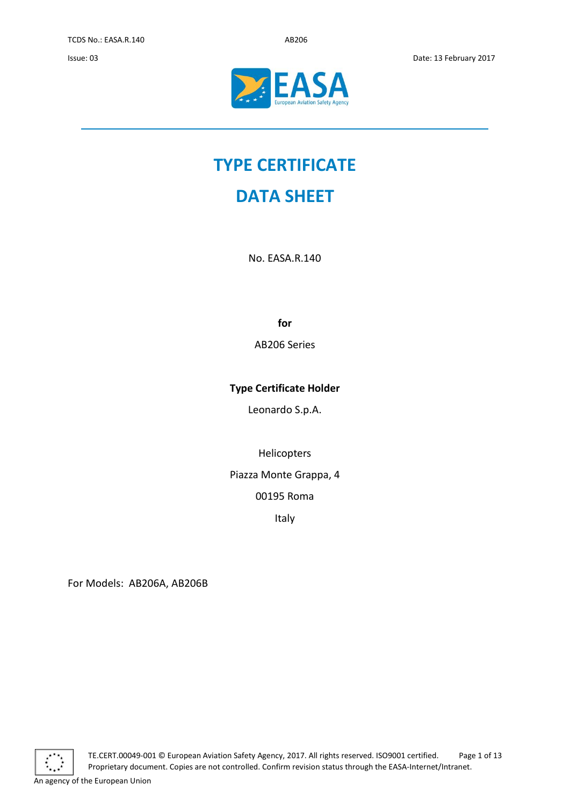

# **TYPE CERTIFICATE**

## **DATA SHEET**

No. EASA.R.140

**for**

AB206 Series

### **Type Certificate Holder**

Leonardo S.p.A.

Helicopters

Piazza Monte Grappa, 4

00195 Roma

Italy

For Models: AB206A, AB206B

TE.CERT.00049-001 © European Aviation Safety Agency, 2017. All rights reserved. ISO9001 certified. Page 1 of 13 Proprietary document. Copies are not controlled. Confirm revision status through the EASA-Internet/Intranet.

An agency of the European Union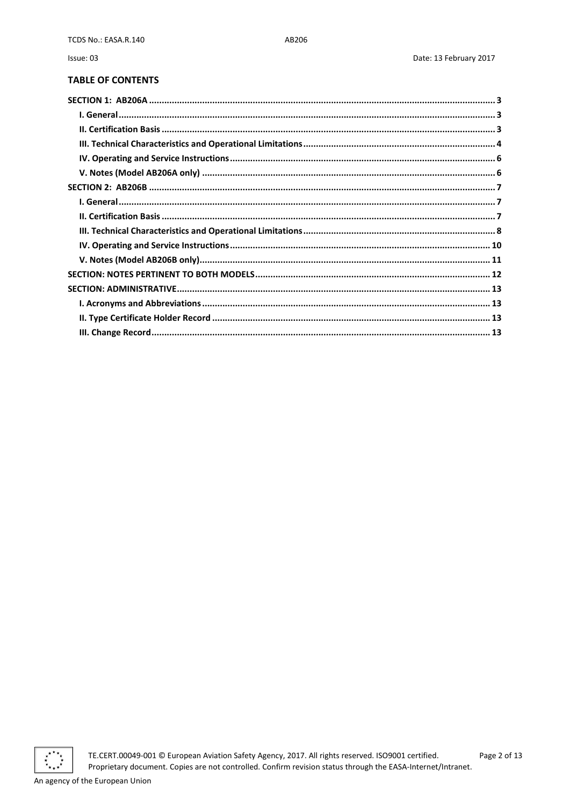Issue: 03

#### **TABLE OF CONTENTS**



TE.CERT.00049-001 © European Aviation Safety Agency, 2017. All rights reserved. ISO9001 certified. Proprietary document. Copies are not controlled. Confirm revision status through the EASA-Internet/Intranet.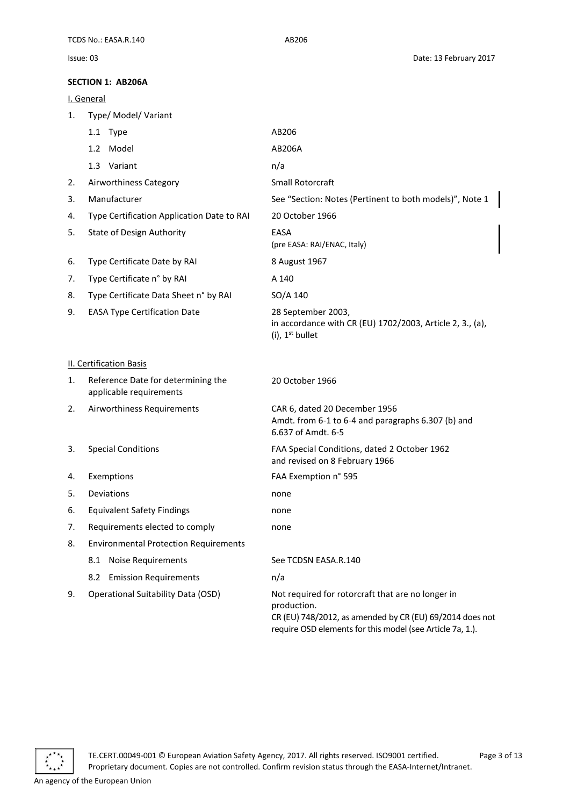<span id="page-2-1"></span><span id="page-2-0"></span>I. General

<span id="page-2-2"></span>

| 1. | Type/ Model/ Variant                                          |                                                                                                                                                                                           |
|----|---------------------------------------------------------------|-------------------------------------------------------------------------------------------------------------------------------------------------------------------------------------------|
|    | 1.1 Type                                                      | AB206                                                                                                                                                                                     |
|    | 1.2 Model                                                     | AB206A                                                                                                                                                                                    |
|    | 1.3 Variant                                                   | n/a                                                                                                                                                                                       |
| 2. | Airworthiness Category                                        | Small Rotorcraft                                                                                                                                                                          |
| 3. | Manufacturer                                                  | See "Section: Notes (Pertinent to both models)", Note 1                                                                                                                                   |
| 4. | Type Certification Application Date to RAI                    | 20 October 1966                                                                                                                                                                           |
| 5. | <b>State of Design Authority</b>                              | EASA<br>(pre EASA: RAI/ENAC, Italy)                                                                                                                                                       |
| 6. | Type Certificate Date by RAI                                  | 8 August 1967                                                                                                                                                                             |
| 7. | Type Certificate n° by RAI                                    | A 140                                                                                                                                                                                     |
| 8. | Type Certificate Data Sheet n° by RAI                         | SO/A 140                                                                                                                                                                                  |
| 9. | <b>EASA Type Certification Date</b>                           | 28 September 2003,<br>in accordance with CR (EU) 1702/2003, Article 2, 3., (a),<br>$(i)$ , 1 <sup>st</sup> bullet                                                                         |
|    | <b>II. Certification Basis</b>                                |                                                                                                                                                                                           |
| 1. | Reference Date for determining the<br>applicable requirements | 20 October 1966                                                                                                                                                                           |
| 2. | Airworthiness Requirements                                    | CAR 6, dated 20 December 1956<br>Amdt. from 6-1 to 6-4 and paragraphs 6.307 (b) and<br>6.637 of Amdt. 6-5                                                                                 |
| 3. | <b>Special Conditions</b>                                     | FAA Special Conditions, dated 2 October 1962<br>and revised on 8 February 1966                                                                                                            |
| 4. | Exemptions                                                    | FAA Exemption n° 595                                                                                                                                                                      |
| 5. | Deviations                                                    | none                                                                                                                                                                                      |
| 6. | <b>Equivalent Safety Findings</b>                             | none                                                                                                                                                                                      |
| 7. | Requirements elected to comply                                | none                                                                                                                                                                                      |
| 8. | <b>Environmental Protection Requirements</b>                  |                                                                                                                                                                                           |
|    | <b>Noise Requirements</b><br>8.1                              | See TCDSN EASA.R.140                                                                                                                                                                      |
|    | <b>Emission Requirements</b><br>8.2                           | n/a                                                                                                                                                                                       |
| 9. | Operational Suitability Data (OSD)                            | Not required for rotorcraft that are no longer in<br>production.<br>CR (EU) 748/2012, as amended by CR (EU) 69/2014 does not<br>require OSD elements for this model (see Article 7a, 1.). |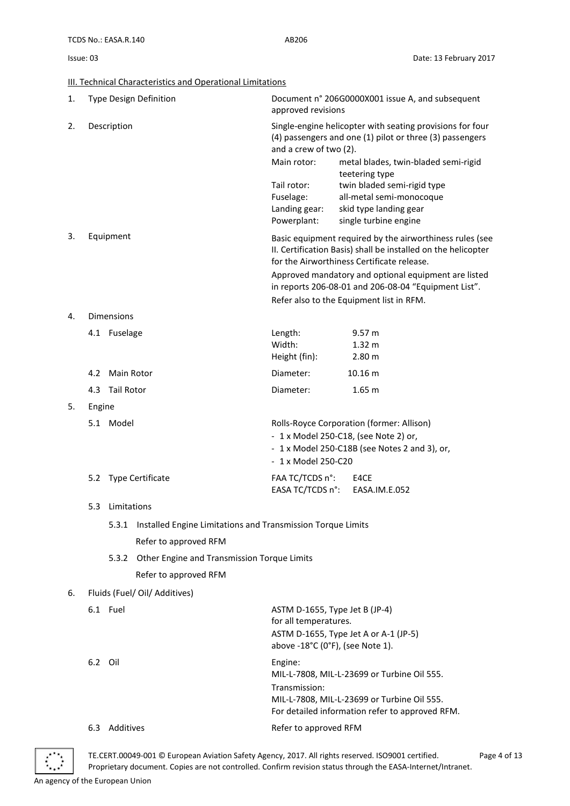<span id="page-3-0"></span>**III. Technical Characteristics and Operational Limitations** 

| 1. |                      |                   | <b>Type Design Definition</b>                                                      | Document n° 206G0000X001 issue A, and subsequent<br>approved revisions                                                                          |                                                                                                                                                                         |  |
|----|----------------------|-------------------|------------------------------------------------------------------------------------|-------------------------------------------------------------------------------------------------------------------------------------------------|-------------------------------------------------------------------------------------------------------------------------------------------------------------------------|--|
| 2. |                      | Description       |                                                                                    | Single-engine helicopter with seating provisions for four<br>(4) passengers and one (1) pilot or three (3) passengers<br>and a crew of two (2). |                                                                                                                                                                         |  |
|    |                      |                   |                                                                                    | Main rotor:                                                                                                                                     | metal blades, twin-bladed semi-rigid<br>teetering type                                                                                                                  |  |
|    |                      |                   |                                                                                    | Tail rotor:                                                                                                                                     | twin bladed semi-rigid type                                                                                                                                             |  |
|    |                      |                   |                                                                                    | Fuselage:                                                                                                                                       | all-metal semi-monocoque                                                                                                                                                |  |
|    |                      |                   |                                                                                    | Landing gear:<br>Powerplant:                                                                                                                    | skid type landing gear<br>single turbine engine                                                                                                                         |  |
| 3. |                      | Equipment         |                                                                                    |                                                                                                                                                 | Basic equipment required by the airworthiness rules (see<br>II. Certification Basis) shall be installed on the helicopter<br>for the Airworthiness Certificate release. |  |
|    |                      |                   |                                                                                    |                                                                                                                                                 | Approved mandatory and optional equipment are listed<br>in reports 206-08-01 and 206-08-04 "Equipment List".                                                            |  |
|    |                      |                   |                                                                                    |                                                                                                                                                 | Refer also to the Equipment list in RFM.                                                                                                                                |  |
| 4. |                      | <b>Dimensions</b> |                                                                                    |                                                                                                                                                 |                                                                                                                                                                         |  |
|    |                      | 4.1 Fuselage      |                                                                                    | Length:                                                                                                                                         | 9.57 m                                                                                                                                                                  |  |
|    |                      |                   |                                                                                    | Width:                                                                                                                                          | 1.32 <sub>m</sub>                                                                                                                                                       |  |
|    |                      |                   |                                                                                    | Height (fin):                                                                                                                                   | 2.80 m                                                                                                                                                                  |  |
|    |                      | 4.2 Main Rotor    |                                                                                    | Diameter:                                                                                                                                       | 10.16 m                                                                                                                                                                 |  |
|    |                      | 4.3 Tail Rotor    |                                                                                    | Diameter:                                                                                                                                       | 1.65 <sub>m</sub>                                                                                                                                                       |  |
| 5. | Engine               |                   |                                                                                    |                                                                                                                                                 |                                                                                                                                                                         |  |
|    | 5.1 Model            |                   | Rolls-Royce Corporation (former: Allison)<br>- 1 x Model 250-C18, (see Note 2) or, |                                                                                                                                                 |                                                                                                                                                                         |  |
|    |                      |                   |                                                                                    |                                                                                                                                                 | - 1 x Model 250-C18B (see Notes 2 and 3), or,                                                                                                                           |  |
|    |                      |                   |                                                                                    | $-1$ x Model 250-C20                                                                                                                            |                                                                                                                                                                         |  |
|    | 5.2 Type Certificate |                   | FAA TC/TCDS n°:                                                                    | E4CE                                                                                                                                            |                                                                                                                                                                         |  |
|    |                      |                   |                                                                                    | EASA TC/TCDS n°:                                                                                                                                | EASA.IM.E.052                                                                                                                                                           |  |
|    |                      | 5.3 Limitations   |                                                                                    |                                                                                                                                                 |                                                                                                                                                                         |  |
|    |                      | 5.3.1             | Installed Engine Limitations and Transmission Torque Limits                        |                                                                                                                                                 |                                                                                                                                                                         |  |
|    |                      |                   | Refer to approved RFM                                                              |                                                                                                                                                 |                                                                                                                                                                         |  |
|    |                      | 5.3.2             | Other Engine and Transmission Torque Limits                                        |                                                                                                                                                 |                                                                                                                                                                         |  |
|    |                      |                   | Refer to approved RFM                                                              |                                                                                                                                                 |                                                                                                                                                                         |  |
| 6. |                      |                   | Fluids (Fuel/ Oil/ Additives)                                                      |                                                                                                                                                 |                                                                                                                                                                         |  |
|    |                      | 6.1 Fuel          |                                                                                    | ASTM D-1655, Type Jet B (JP-4)                                                                                                                  |                                                                                                                                                                         |  |
|    |                      |                   |                                                                                    | for all temperatures.<br>above -18°C (0°F), (see Note 1).                                                                                       | ASTM D-1655, Type Jet A or A-1 (JP-5)                                                                                                                                   |  |
|    | 6.2 Oil              |                   |                                                                                    | Engine:                                                                                                                                         | MIL-L-7808, MIL-L-23699 or Turbine Oil 555.                                                                                                                             |  |
|    |                      |                   |                                                                                    | Transmission:                                                                                                                                   | MIL-L-7808, MIL-L-23699 or Turbine Oil 555.<br>For detailed information refer to approved RFM.                                                                          |  |
|    | 6.3                  | Additives         |                                                                                    | Refer to approved RFM                                                                                                                           |                                                                                                                                                                         |  |



TE.CERT.00049-001 © European Aviation Safety Agency, 2017. All rights reserved. ISO9001 certified. Page 4 of 13 Proprietary document. Copies are not controlled. Confirm revision status through the EASA-Internet/Intranet.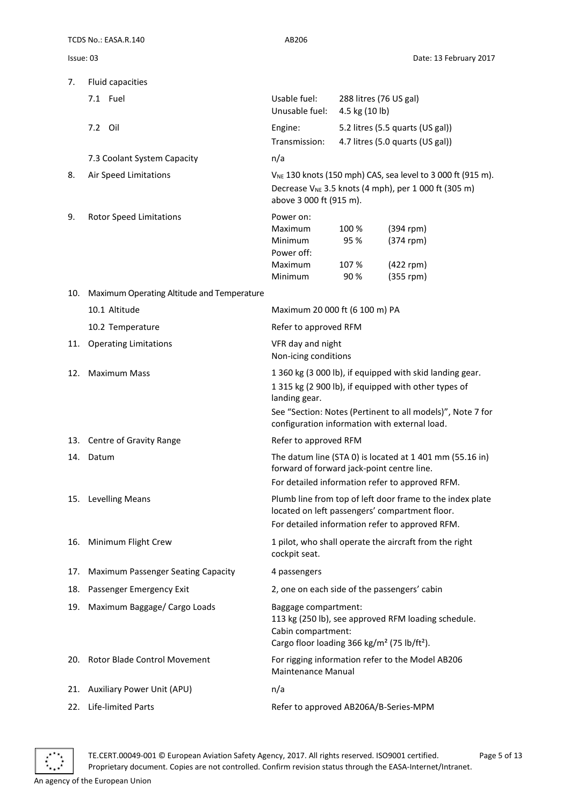|           | TCDS No.: EASA.R.140                       | AB206                                                                                                                                                                                                                                            |                                |                                                                                                                                      |
|-----------|--------------------------------------------|--------------------------------------------------------------------------------------------------------------------------------------------------------------------------------------------------------------------------------------------------|--------------------------------|--------------------------------------------------------------------------------------------------------------------------------------|
| Issue: 03 |                                            |                                                                                                                                                                                                                                                  |                                | Date: 13 February 2017                                                                                                               |
| 7.        | Fluid capacities                           |                                                                                                                                                                                                                                                  |                                |                                                                                                                                      |
|           | 7.1 Fuel                                   | Usable fuel:<br>Unusable fuel:                                                                                                                                                                                                                   | 4.5 kg (10 lb)                 | 288 litres (76 US gal)                                                                                                               |
|           | 7.2 Oil                                    | Engine:                                                                                                                                                                                                                                          |                                | 5.2 litres (5.5 quarts (US gal))                                                                                                     |
|           |                                            | Transmission:                                                                                                                                                                                                                                    |                                | 4.7 litres (5.0 quarts (US gal))                                                                                                     |
|           | 7.3 Coolant System Capacity                | n/a                                                                                                                                                                                                                                              |                                |                                                                                                                                      |
| 8.        | Air Speed Limitations                      | above 3 000 ft (915 m).                                                                                                                                                                                                                          |                                | V <sub>NE</sub> 130 knots (150 mph) CAS, sea level to 3 000 ft (915 m).<br>Decrease $V_{NE}$ 3.5 knots (4 mph), per 1 000 ft (305 m) |
| 9.        | <b>Rotor Speed Limitations</b>             | Power on:<br>Maximum<br>Minimum<br>Power off:<br>Maximum<br>Minimum                                                                                                                                                                              | 100 %<br>95 %<br>107 %<br>90 % | $(394$ rpm)<br>$(374$ rpm)<br>(422 rpm)<br>$(355$ rpm)                                                                               |
| 10.       | Maximum Operating Altitude and Temperature |                                                                                                                                                                                                                                                  |                                |                                                                                                                                      |
|           | 10.1 Altitude                              | Maximum 20 000 ft (6 100 m) PA                                                                                                                                                                                                                   |                                |                                                                                                                                      |
|           | 10.2 Temperature                           | Refer to approved RFM                                                                                                                                                                                                                            |                                |                                                                                                                                      |
|           | 11. Operating Limitations                  | VFR day and night<br>Non-icing conditions                                                                                                                                                                                                        |                                |                                                                                                                                      |
| 12.       | <b>Maximum Mass</b>                        | 1 360 kg (3 000 lb), if equipped with skid landing gear.<br>1 315 kg (2 900 lb), if equipped with other types of<br>landing gear.<br>See "Section: Notes (Pertinent to all models)", Note 7 for<br>configuration information with external load. |                                |                                                                                                                                      |
|           | 13. Centre of Gravity Range                | Refer to approved RFM                                                                                                                                                                                                                            |                                |                                                                                                                                      |
| 14.       | Datum                                      | The datum line (STA 0) is located at 1 401 mm (55.16 in)<br>forward of forward jack-point centre line.<br>For detailed information refer to approved RFM.                                                                                        |                                |                                                                                                                                      |
|           | 15. Levelling Means                        | Plumb line from top of left door frame to the index plate<br>located on left passengers' compartment floor.<br>For detailed information refer to approved RFM.                                                                                   |                                |                                                                                                                                      |
| 16.       | Minimum Flight Crew                        | 1 pilot, who shall operate the aircraft from the right<br>cockpit seat.                                                                                                                                                                          |                                |                                                                                                                                      |
| 17.       | Maximum Passenger Seating Capacity         | 4 passengers                                                                                                                                                                                                                                     |                                |                                                                                                                                      |
| 18.       | Passenger Emergency Exit                   | 2, one on each side of the passengers' cabin                                                                                                                                                                                                     |                                |                                                                                                                                      |
| 19.       | Maximum Baggage/ Cargo Loads               | Baggage compartment:<br>113 kg (250 lb), see approved RFM loading schedule.<br>Cabin compartment:<br>Cargo floor loading 366 kg/m <sup>2</sup> (75 lb/ft <sup>2</sup> ).                                                                         |                                |                                                                                                                                      |
| 20.       | Rotor Blade Control Movement               | <b>Maintenance Manual</b>                                                                                                                                                                                                                        |                                | For rigging information refer to the Model AB206                                                                                     |
| 21.       | <b>Auxiliary Power Unit (APU)</b>          | n/a                                                                                                                                                                                                                                              |                                |                                                                                                                                      |
| 22.       | Life-limited Parts                         | Refer to approved AB206A/B-Series-MPM                                                                                                                                                                                                            |                                |                                                                                                                                      |

 $\ddot{\vec{x}}$  $\tilde{\star}$ 

TE.CERT.00049-001 © European Aviation Safety Agency, 2017. All rights reserved. ISO9001 certified. Page 5 of 13 Proprietary document. Copies are not controlled. Confirm revision status through the EASA-Internet/Intranet.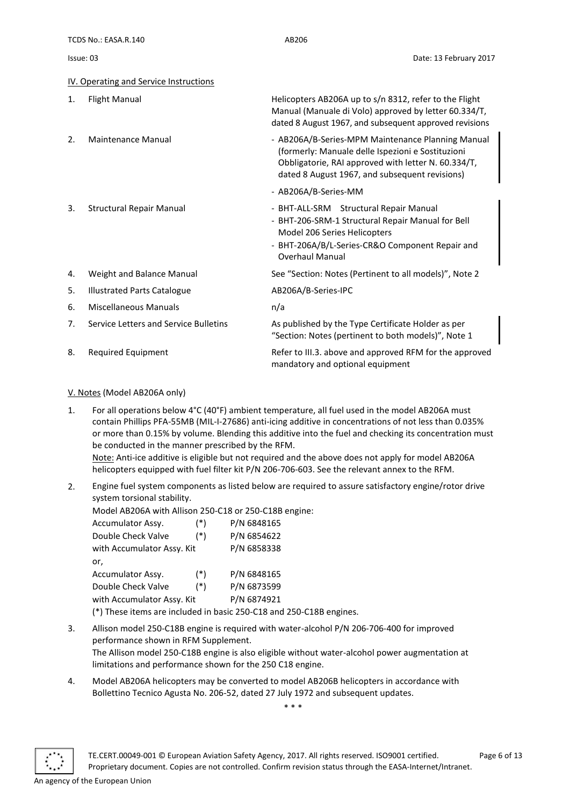#### <span id="page-5-0"></span>IV. Operating and Service Instructions

| $\mathbf{1}$ .   | <b>Flight Manual</b>                  | Helicopters AB206A up to s/n 8312, refer to the Flight<br>Manual (Manuale di Volo) approved by letter 60.334/T,<br>dated 8 August 1967, and subsequent approved revisions                                       |
|------------------|---------------------------------------|-----------------------------------------------------------------------------------------------------------------------------------------------------------------------------------------------------------------|
| $\mathfrak{D}$ . | Maintenance Manual                    | - AB206A/B-Series-MPM Maintenance Planning Manual<br>(formerly: Manuale delle Ispezioni e Sostituzioni<br>Obbligatorie, RAI approved with letter N. 60.334/T,<br>dated 8 August 1967, and subsequent revisions) |
|                  |                                       | - AB206A/B-Series-MM                                                                                                                                                                                            |
| 3.               | <b>Structural Repair Manual</b>       | - BHT-ALL-SRM Structural Repair Manual<br>- BHT-206-SRM-1 Structural Repair Manual for Bell<br>Model 206 Series Helicopters<br>- BHT-206A/B/L-Series-CR&O Component Repair and<br><b>Overhaul Manual</b>        |
| 4.               | Weight and Balance Manual             | See "Section: Notes (Pertinent to all models)", Note 2                                                                                                                                                          |
| 5.               | <b>Illustrated Parts Catalogue</b>    | AB206A/B-Series-IPC                                                                                                                                                                                             |
| 6.               | Miscellaneous Manuals                 | n/a                                                                                                                                                                                                             |
| 7.               | Service Letters and Service Bulletins | As published by the Type Certificate Holder as per<br>"Section: Notes (pertinent to both models)", Note 1                                                                                                       |
| 8.               | Required Equipment                    | Refer to III.3. above and approved RFM for the approved<br>mandatory and optional equipment                                                                                                                     |

#### <span id="page-5-1"></span>V. Notes (Model AB206A only)

1. For all operations below 4°C (40°F) ambient temperature, all fuel used in the model AB206A must contain Phillips PFA-55MB (MIL-I-27686) anti-icing additive in concentrations of not less than 0.035% or more than 0.15% by volume. Blending this additive into the fuel and checking its concentration must be conducted in the manner prescribed by the RFM.

Note: Anti-ice additive is eligible but not required and the above does not apply for model AB206A helicopters equipped with fuel filter kit P/N 206-706-603. See the relevant annex to the RFM.

2. Engine fuel system components as listed below are required to assure satisfactory engine/rotor drive system torsional stability.

Model AB206A with Allison 250-C18 or 250-C18B engine:

| Accumulator Assy.          | $(*)$ | P/N 6848165 |
|----------------------------|-------|-------------|
| Double Check Valve         | $(*)$ | P/N 6854622 |
| with Accumulator Assy. Kit |       | P/N 6858338 |
| or,                        |       |             |
| Accumulator Assy.          | $(*)$ | P/N 6848165 |
| Double Check Valve         | $(*)$ | P/N 6873599 |
| with Accumulator Assy. Kit |       | P/N 6874921 |
|                            |       |             |

(\*) These items are included in basic 250-C18 and 250-C18B engines.

- 3. Allison model 250-C18B engine is required with water-alcohol P/N 206-706-400 for improved performance shown in RFM Supplement. The Allison model 250-C18B engine is also eligible without water-alcohol power augmentation at limitations and performance shown for the 250 C18 engine.
- 4. Model AB206A helicopters may be converted to model AB206B helicopters in accordance with Bollettino Tecnico Agusta No. 206-52, dated 27 July 1972 and subsequent updates.

\* \* \*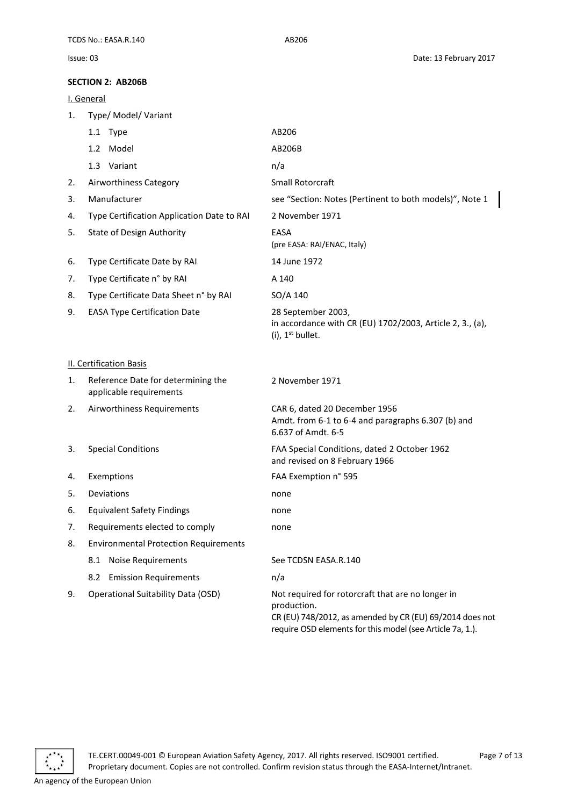#### <span id="page-6-0"></span>**SECTION 2: AB206B**

<span id="page-6-2"></span><span id="page-6-1"></span>

|    | <u>I. General</u>                                             |                                                                                                                                                                                           |
|----|---------------------------------------------------------------|-------------------------------------------------------------------------------------------------------------------------------------------------------------------------------------------|
| 1. | Type/ Model/ Variant                                          |                                                                                                                                                                                           |
|    | 1.1 Type                                                      | AB206                                                                                                                                                                                     |
|    | 1.2 Model                                                     | AB206B                                                                                                                                                                                    |
|    | 1.3 Variant                                                   | n/a                                                                                                                                                                                       |
| 2. | Airworthiness Category                                        | Small Rotorcraft                                                                                                                                                                          |
| 3. | Manufacturer                                                  | see "Section: Notes (Pertinent to both models)", Note 1                                                                                                                                   |
| 4. | Type Certification Application Date to RAI                    | 2 November 1971                                                                                                                                                                           |
| 5. | State of Design Authority                                     | EASA<br>(pre EASA: RAI/ENAC, Italy)                                                                                                                                                       |
| 6. | Type Certificate Date by RAI                                  | 14 June 1972                                                                                                                                                                              |
| 7. | Type Certificate n° by RAI                                    | A 140                                                                                                                                                                                     |
| 8. | Type Certificate Data Sheet n° by RAI                         | SO/A 140                                                                                                                                                                                  |
| 9. | <b>EASA Type Certification Date</b>                           | 28 September 2003,<br>in accordance with CR (EU) 1702/2003, Article 2, 3., (a),<br>$(i)$ , 1 <sup>st</sup> bullet.                                                                        |
|    | <b>II. Certification Basis</b>                                |                                                                                                                                                                                           |
| 1. | Reference Date for determining the<br>applicable requirements | 2 November 1971                                                                                                                                                                           |
| 2. | Airworthiness Requirements                                    | CAR 6, dated 20 December 1956<br>Amdt. from 6-1 to 6-4 and paragraphs 6.307 (b) and<br>6.637 of Amdt. 6-5                                                                                 |
| 3. | <b>Special Conditions</b>                                     | FAA Special Conditions, dated 2 October 1962<br>and revised on 8 February 1966                                                                                                            |
| 4. | Exemptions                                                    | FAA Exemption n° 595                                                                                                                                                                      |
| 5. | Deviations                                                    | none                                                                                                                                                                                      |
| 6. | <b>Equivalent Safety Findings</b>                             | none                                                                                                                                                                                      |
| 7. | Requirements elected to comply                                | none                                                                                                                                                                                      |
| 8. | <b>Environmental Protection Requirements</b>                  |                                                                                                                                                                                           |
|    | <b>Noise Requirements</b><br>8.1                              | See TCDSN EASA.R.140                                                                                                                                                                      |
|    | <b>Emission Requirements</b><br>8.2                           | n/a                                                                                                                                                                                       |
| 9. | <b>Operational Suitability Data (OSD)</b>                     | Not required for rotorcraft that are no longer in<br>production.<br>CR (EU) 748/2012, as amended by CR (EU) 69/2014 does not<br>require OSD elements for this model (see Article 7a, 1.). |

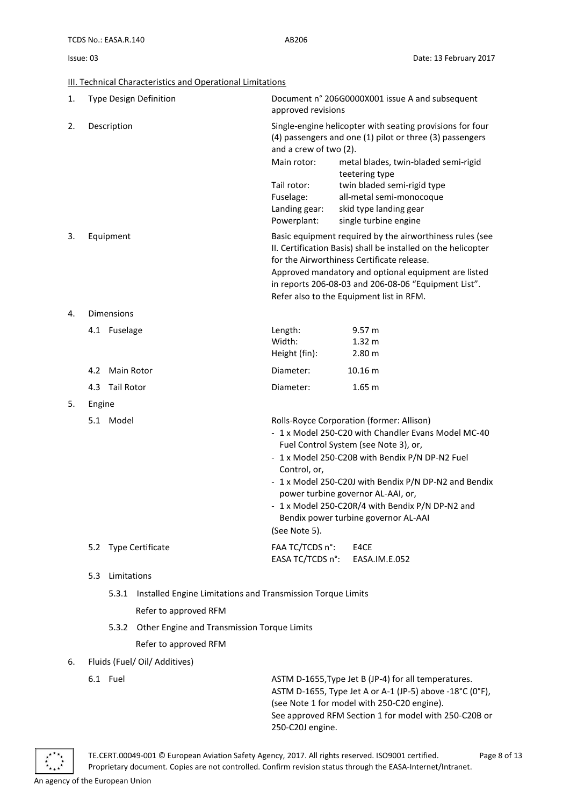<span id="page-7-0"></span>III. Technical Characteristics and Operational Limitations

| 1. |                    |                   | Type Design Definition                                      | approved revisions                                                                                | Document n° 206G0000X001 issue A and subsequent                                                                                                                                                                                                                                                                                                                                         |
|----|--------------------|-------------------|-------------------------------------------------------------|---------------------------------------------------------------------------------------------------|-----------------------------------------------------------------------------------------------------------------------------------------------------------------------------------------------------------------------------------------------------------------------------------------------------------------------------------------------------------------------------------------|
| 2. |                    | Description       |                                                             | and a crew of two (2).<br>Main rotor:<br>Tail rotor:<br>Fuselage:<br>Landing gear:<br>Powerplant: | Single-engine helicopter with seating provisions for four<br>(4) passengers and one (1) pilot or three (3) passengers<br>metal blades, twin-bladed semi-rigid<br>teetering type<br>twin bladed semi-rigid type<br>all-metal semi-monocoque<br>skid type landing gear<br>single turbine engine                                                                                           |
| 3. |                    | Equipment         |                                                             |                                                                                                   | Basic equipment required by the airworthiness rules (see<br>II. Certification Basis) shall be installed on the helicopter<br>for the Airworthiness Certificate release.<br>Approved mandatory and optional equipment are listed<br>in reports 206-08-03 and 206-08-06 "Equipment List".<br>Refer also to the Equipment list in RFM.                                                     |
| 4. |                    | <b>Dimensions</b> |                                                             |                                                                                                   |                                                                                                                                                                                                                                                                                                                                                                                         |
|    |                    | 4.1 Fuselage      |                                                             | Length:<br>Width:<br>Height (fin):                                                                | 9.57 m<br>1.32 <sub>m</sub><br>2.80 <sub>m</sub>                                                                                                                                                                                                                                                                                                                                        |
|    |                    | 4.2 Main Rotor    |                                                             | Diameter:                                                                                         | 10.16 m                                                                                                                                                                                                                                                                                                                                                                                 |
|    | 4.3                | Tail Rotor        |                                                             | Diameter:                                                                                         | 1.65 <sub>m</sub>                                                                                                                                                                                                                                                                                                                                                                       |
| 5. | Engine             |                   |                                                             |                                                                                                   |                                                                                                                                                                                                                                                                                                                                                                                         |
|    |                    | 5.1 Model         |                                                             | Control, or,<br>(See Note 5).                                                                     | Rolls-Royce Corporation (former: Allison)<br>- 1 x Model 250-C20 with Chandler Evans Model MC-40<br>Fuel Control System (see Note 3), or,<br>- 1 x Model 250-C20B with Bendix P/N DP-N2 Fuel<br>- 1 x Model 250-C20J with Bendix P/N DP-N2 and Bendix<br>power turbine governor AL-AAI, or,<br>- 1 x Model 250-C20R/4 with Bendix P/N DP-N2 and<br>Bendix power turbine governor AL-AAI |
|    |                    |                   | 5.2 Type Certificate                                        | FAA TC/TCDS n°:<br>EASA TC/TCDS n°:                                                               | E4CE<br>EASA.IM.E.052                                                                                                                                                                                                                                                                                                                                                                   |
|    | Limitations<br>5.3 |                   |                                                             |                                                                                                   |                                                                                                                                                                                                                                                                                                                                                                                         |
|    |                    | 5.3.1             | Installed Engine Limitations and Transmission Torque Limits |                                                                                                   |                                                                                                                                                                                                                                                                                                                                                                                         |
|    |                    |                   | Refer to approved RFM                                       |                                                                                                   |                                                                                                                                                                                                                                                                                                                                                                                         |
|    |                    | 5.3.2             | Other Engine and Transmission Torque Limits                 |                                                                                                   |                                                                                                                                                                                                                                                                                                                                                                                         |
|    |                    |                   | Refer to approved RFM                                       |                                                                                                   |                                                                                                                                                                                                                                                                                                                                                                                         |
| 6. |                    |                   | Fluids (Fuel/ Oil/ Additives)                               |                                                                                                   |                                                                                                                                                                                                                                                                                                                                                                                         |
|    |                    | 6.1 Fuel          |                                                             |                                                                                                   | ASTM D-1655, Type Jet B (JP-4) for all temperatures.                                                                                                                                                                                                                                                                                                                                    |

ASTM D-1655, Type Jet A or A-1 (JP-5) above -18°C (0°F), (see Note 1 for model with 250-C20 engine). See approved RFM Section 1 for model with 250-C20B or 250-C20J engine.

TE.CERT.00049-001 © European Aviation Safety Agency, 2017. All rights reserved. ISO9001 certified. Page 8 of 13 Proprietary document. Copies are not controlled. Confirm revision status through the EASA-Internet/Intranet.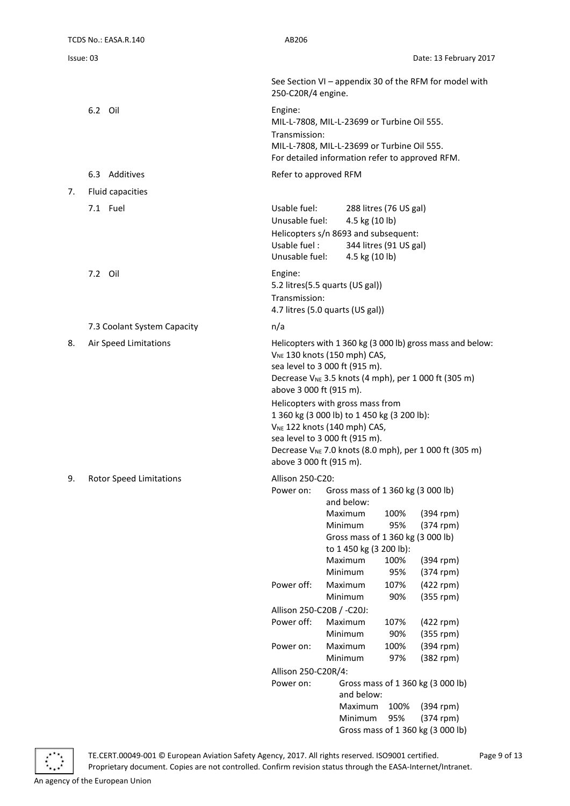| TCDS No.: EASA.R.140          | AB206                                                                                                                                                                                                                                                                                                                                                                  |
|-------------------------------|------------------------------------------------------------------------------------------------------------------------------------------------------------------------------------------------------------------------------------------------------------------------------------------------------------------------------------------------------------------------|
| Issue: 03                     | Date: 13 February 2017                                                                                                                                                                                                                                                                                                                                                 |
|                               | See Section VI - appendix 30 of the RFM for model with<br>250-C20R/4 engine.                                                                                                                                                                                                                                                                                           |
| 6.2 Oil                       | Engine:<br>MIL-L-7808, MIL-L-23699 or Turbine Oil 555.<br>Transmission:<br>MIL-L-7808, MIL-L-23699 or Turbine Oil 555.<br>For detailed information refer to approved RFM.                                                                                                                                                                                              |
| 6.3 Additives                 | Refer to approved RFM                                                                                                                                                                                                                                                                                                                                                  |
| Fluid capacities<br>7.        |                                                                                                                                                                                                                                                                                                                                                                        |
| 7.1 Fuel                      | Usable fuel:<br>288 litres (76 US gal)<br>Unusable fuel:<br>4.5 kg (10 lb)<br>Helicopters s/n 8693 and subsequent:<br>Usable fuel:<br>344 litres (91 US gal)<br>Unusable fuel:<br>4.5 kg (10 lb)                                                                                                                                                                       |
| 7.2 Oil                       | Engine:<br>5.2 litres(5.5 quarts (US gal))<br>Transmission:<br>4.7 litres (5.0 quarts (US gal))                                                                                                                                                                                                                                                                        |
| 7.3 Coolant System Capacity   | n/a                                                                                                                                                                                                                                                                                                                                                                    |
| Air Speed Limitations<br>8.   | Helicopters with 1 360 kg (3 000 lb) gross mass and below:<br>V <sub>NE</sub> 130 knots (150 mph) CAS,<br>sea level to 3 000 ft (915 m).<br>Decrease V <sub>NE</sub> 3.5 knots (4 mph), per 1 000 ft (305 m)<br>above 3 000 ft (915 m).<br>Helicopters with gross mass from<br>1 360 kg (3 000 lb) to 1 450 kg (3 200 lb):<br>V <sub>NE</sub> 122 knots (140 mph) CAS, |
|                               | sea level to 3 000 ft (915 m).<br>Decrease V <sub>NE</sub> 7.0 knots (8.0 mph), per 1 000 ft (305 m)<br>above 3 000 ft (915 m).                                                                                                                                                                                                                                        |
| 9.<br>Rotor Speed Limitations | Allison 250-C20:<br>Gross mass of 1 360 kg (3 000 lb)<br>Power on:<br>and below:<br>100%<br>$(394$ rpm)<br>Maximum<br>Minimum<br>95%<br>$(374$ rpm)<br>Gross mass of 1 360 kg (3 000 lb)<br>to 1 450 kg (3 200 lb):<br>(394 rpm)<br>Maximum<br>100%<br>Minimum<br>95%<br>$(374$ rpm)                                                                                   |
|                               | Power off:<br>Maximum<br>107%<br>(422 rpm)<br>Minimum<br>90%<br>$(355$ rpm)                                                                                                                                                                                                                                                                                            |
|                               | Allison 250-C20B / -C20J:                                                                                                                                                                                                                                                                                                                                              |
|                               | Power off:<br>Maximum<br>107%<br>$(422$ rpm)                                                                                                                                                                                                                                                                                                                           |
|                               | Minimum<br>90%<br>$(355$ rpm)<br>Maximum<br>$(394$ rpm)<br>Power on:<br>100%                                                                                                                                                                                                                                                                                           |
|                               | (382 rpm)<br>Minimum<br>97%                                                                                                                                                                                                                                                                                                                                            |
|                               | Allison 250-C20R/4:                                                                                                                                                                                                                                                                                                                                                    |
|                               | Gross mass of 1 360 kg (3 000 lb)<br>Power on:                                                                                                                                                                                                                                                                                                                         |
|                               | and below:<br>Maximum<br>100%<br>$(394$ rpm)<br>95%<br>$(374$ rpm)<br>Minimum<br>Gross mass of 1 360 kg (3 000 lb)                                                                                                                                                                                                                                                     |



TE.CERT.00049-001 © European Aviation Safety Agency, 2017. All rights reserved. ISO9001 certified. Page 9 of 13 Proprietary document. Copies are not controlled. Confirm revision status through the EASA-Internet/Intranet.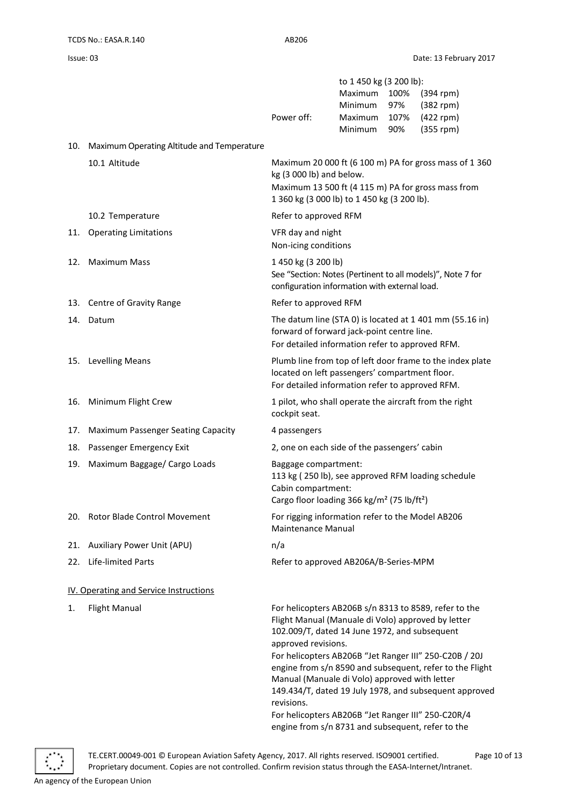|     |                                            | Power off:                                                                                                                                                                                                                                                                                               | to 1 450 kg (3 200 lb):<br>Maximum<br>Minimum<br>Maximum<br><b>Minimum</b> | 100%<br>97%<br>107%<br>90% | $(394$ rpm)<br>$(382$ rpm $)$<br>$(422$ rpm)<br>$(355$ rpm)                                                                                                                  |
|-----|--------------------------------------------|----------------------------------------------------------------------------------------------------------------------------------------------------------------------------------------------------------------------------------------------------------------------------------------------------------|----------------------------------------------------------------------------|----------------------------|------------------------------------------------------------------------------------------------------------------------------------------------------------------------------|
| 10. | Maximum Operating Altitude and Temperature |                                                                                                                                                                                                                                                                                                          |                                                                            |                            |                                                                                                                                                                              |
|     | 10.1 Altitude                              | kg (3 000 lb) and below.<br>Maximum 13 500 ft (4 115 m) PA for gross mass from<br>1 360 kg (3 000 lb) to 1 450 kg (3 200 lb).                                                                                                                                                                            |                                                                            |                            | Maximum 20 000 ft (6 100 m) PA for gross mass of 1 360                                                                                                                       |
|     | 10.2 Temperature                           | Refer to approved RFM                                                                                                                                                                                                                                                                                    |                                                                            |                            |                                                                                                                                                                              |
| 11. | <b>Operating Limitations</b>               | VFR day and night<br>Non-icing conditions                                                                                                                                                                                                                                                                |                                                                            |                            |                                                                                                                                                                              |
| 12. | <b>Maximum Mass</b>                        | 1450 kg (3 200 lb)<br>configuration information with external load.                                                                                                                                                                                                                                      |                                                                            |                            | See "Section: Notes (Pertinent to all models)", Note 7 for                                                                                                                   |
|     | 13. Centre of Gravity Range                | Refer to approved RFM                                                                                                                                                                                                                                                                                    |                                                                            |                            |                                                                                                                                                                              |
| 14. | Datum                                      | forward of forward jack-point centre line.<br>For detailed information refer to approved RFM.                                                                                                                                                                                                            |                                                                            |                            | The datum line (STA 0) is located at 1 401 mm (55.16 in)                                                                                                                     |
| 15. | <b>Levelling Means</b>                     | located on left passengers' compartment floor.<br>For detailed information refer to approved RFM.                                                                                                                                                                                                        |                                                                            |                            | Plumb line from top of left door frame to the index plate                                                                                                                    |
| 16. | Minimum Flight Crew                        | 1 pilot, who shall operate the aircraft from the right<br>cockpit seat.                                                                                                                                                                                                                                  |                                                                            |                            |                                                                                                                                                                              |
| 17. | Maximum Passenger Seating Capacity         | 4 passengers                                                                                                                                                                                                                                                                                             |                                                                            |                            |                                                                                                                                                                              |
| 18. | Passenger Emergency Exit                   | 2, one on each side of the passengers' cabin                                                                                                                                                                                                                                                             |                                                                            |                            |                                                                                                                                                                              |
| 19. | Maximum Baggage/ Cargo Loads               | Baggage compartment:<br>113 kg (250 lb), see approved RFM loading schedule<br>Cabin compartment:<br>Cargo floor loading 366 kg/m <sup>2</sup> (75 lb/ft <sup>2</sup> )                                                                                                                                   |                                                                            |                            |                                                                                                                                                                              |
| 20. | Rotor Blade Control Movement               | For rigging information refer to the Model AB206<br>Maintenance Manual                                                                                                                                                                                                                                   |                                                                            |                            |                                                                                                                                                                              |
| 21. | <b>Auxiliary Power Unit (APU)</b>          | n/a                                                                                                                                                                                                                                                                                                      |                                                                            |                            |                                                                                                                                                                              |
| 22. | Life-limited Parts                         | Refer to approved AB206A/B-Series-MPM                                                                                                                                                                                                                                                                    |                                                                            |                            |                                                                                                                                                                              |
|     | IV. Operating and Service Instructions     |                                                                                                                                                                                                                                                                                                          |                                                                            |                            |                                                                                                                                                                              |
| 1.  | <b>Flight Manual</b>                       | For helicopters AB206B s/n 8313 to 8589, refer to the<br>Flight Manual (Manuale di Volo) approved by letter<br>102.009/T, dated 14 June 1972, and subsequent<br>approved revisions.<br>Manual (Manuale di Volo) approved with letter<br>revisions.<br>For helicopters AB206B "Jet Ranger III" 250-C20R/4 |                                                                            |                            | For helicopters AB206B "Jet Ranger III" 250-C20B / 20J<br>engine from s/n 8590 and subsequent, refer to the Flight<br>149.434/T, dated 19 July 1978, and subsequent approved |
|     |                                            | engine from s/n 8731 and subsequent, refer to the                                                                                                                                                                                                                                                        |                                                                            |                            |                                                                                                                                                                              |

<span id="page-9-0"></span>

TE.CERT.00049-001 © European Aviation Safety Agency, 2017. All rights reserved. ISO9001 certified. Page 10 of 13 Proprietary document. Copies are not controlled. Confirm revision status through the EASA-Internet/Intranet.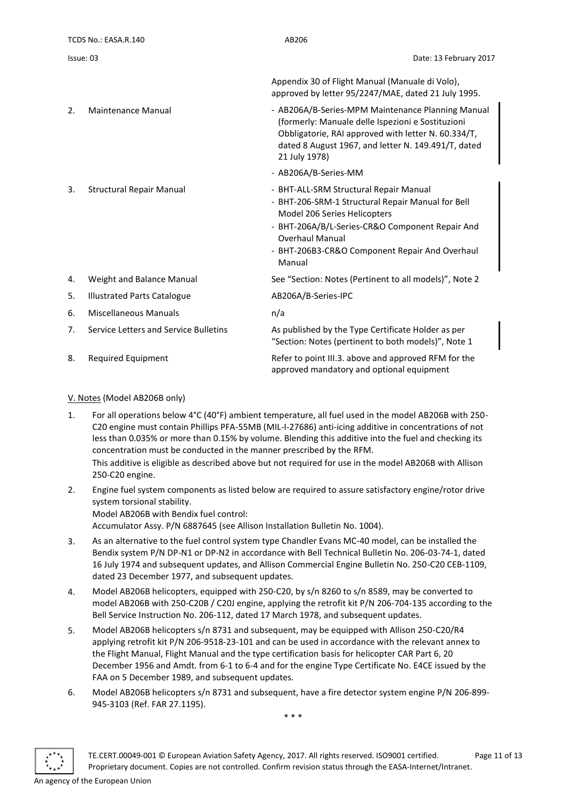|           | TCDS No.: EASA.R.140                  | AB206                                                                                                                                                                                                                                                                |
|-----------|---------------------------------------|----------------------------------------------------------------------------------------------------------------------------------------------------------------------------------------------------------------------------------------------------------------------|
| Issue: 03 |                                       | Date: 13 February 2017                                                                                                                                                                                                                                               |
|           |                                       | Appendix 30 of Flight Manual (Manuale di Volo),<br>approved by letter 95/2247/MAE, dated 21 July 1995.                                                                                                                                                               |
| 2.        | Maintenance Manual                    | - AB206A/B-Series-MPM Maintenance Planning Manual<br>(formerly: Manuale delle Ispezioni e Sostituzioni<br>Obbligatorie, RAI approved with letter N. 60.334/T,<br>dated 8 August 1967, and letter N. 149.491/T, dated<br>21 July 1978)                                |
|           |                                       | - AB206A/B-Series-MM                                                                                                                                                                                                                                                 |
| 3.        | <b>Structural Repair Manual</b>       | - BHT-ALL-SRM Structural Repair Manual<br>- BHT-206-SRM-1 Structural Repair Manual for Bell<br>Model 206 Series Helicopters<br>- BHT-206A/B/L-Series-CR&O Component Repair And<br><b>Overhaul Manual</b><br>- BHT-206B3-CR&O Component Repair And Overhaul<br>Manual |
| 4.        | Weight and Balance Manual             | See "Section: Notes (Pertinent to all models)", Note 2                                                                                                                                                                                                               |
| 5.        | <b>Illustrated Parts Catalogue</b>    | AB206A/B-Series-IPC                                                                                                                                                                                                                                                  |
| 6.        | <b>Miscellaneous Manuals</b>          | n/a                                                                                                                                                                                                                                                                  |
| 7.        | Service Letters and Service Bulletins | As published by the Type Certificate Holder as per<br>"Section: Notes (pertinent to both models)", Note 1                                                                                                                                                            |
| 8.        | <b>Required Equipment</b>             | Refer to point III.3. above and approved RFM for the<br>approved mandatory and optional equipment                                                                                                                                                                    |

#### <span id="page-10-0"></span>V. Notes (Model AB206B only)

- 1. For all operations below 4°C (40°F) ambient temperature, all fuel used in the model AB206B with 250- C20 engine must contain Phillips PFA-55MB (MIL-I-27686) anti-icing additive in concentrations of not less than 0.035% or more than 0.15% by volume. Blending this additive into the fuel and checking its concentration must be conducted in the manner prescribed by the RFM. This additive is eligible as described above but not required for use in the model AB206B with Allison 250-C20 engine.
- 2. Engine fuel system components as listed below are required to assure satisfactory engine/rotor drive system torsional stability. Model AB206B with Bendix fuel control:
- Accumulator Assy. P/N 6887645 (see Allison Installation Bulletin No. 1004). 3. As an alternative to the fuel control system type Chandler Evans MC-40 model, can be installed the
- Bendix system P/N DP-N1 or DP-N2 in accordance with Bell Technical Bulletin No. 206-03-74-1, dated 16 July 1974 and subsequent updates, and Allison Commercial Engine Bulletin No. 250-C20 CEB-1109, dated 23 December 1977, and subsequent updates.
- 4. Model AB206B helicopters, equipped with 250-C20, by s/n 8260 to s/n 8589, may be converted to model AB206B with 250-C20B / C20J engine, applying the retrofit kit P/N 206-704-135 according to the Bell Service Instruction No. 206-112, dated 17 March 1978, and subsequent updates.
- 5. Model AB206B helicopters s/n 8731 and subsequent, may be equipped with Allison 250-C20/R4 applying retrofit kit P/N 206-9518-23-101 and can be used in accordance with the relevant annex to the Flight Manual, Flight Manual and the type certification basis for helicopter CAR Part 6, 20 December 1956 and Amdt. from 6-1 to 6-4 and for the engine Type Certificate No. E4CE issued by the FAA on 5 December 1989, and subsequent updates.
- 6. Model AB206B helicopters s/n 8731 and subsequent, have a fire detector system engine P/N 206-899- 945-3103 (Ref. FAR 27.1195).

\* \* \*

TE.CERT.00049-001 © European Aviation Safety Agency, 2017. All rights reserved. ISO9001 certified. Page 11 of 13 Proprietary document. Copies are not controlled. Confirm revision status through the EASA-Internet/Intranet.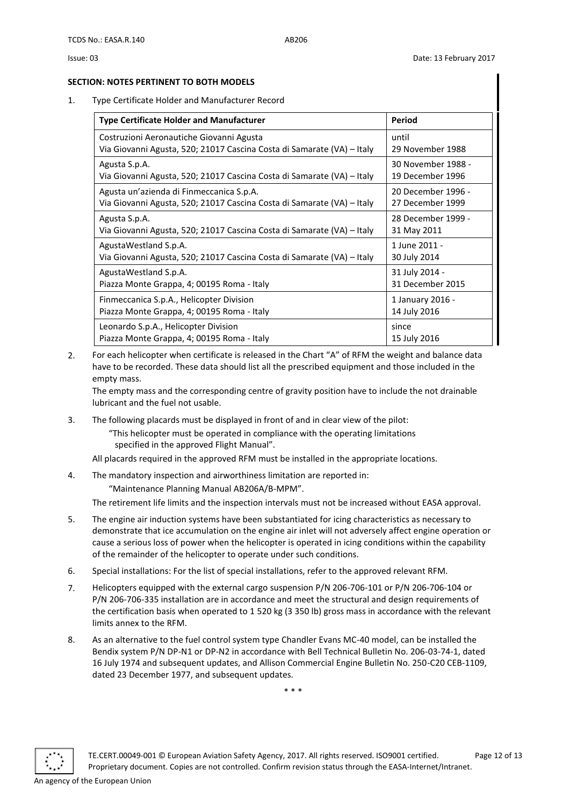#### <span id="page-11-0"></span>**SECTION: NOTES PERTINENT TO BOTH MODELS**

1. Type Certificate Holder and Manufacturer Record

| <b>Type Certificate Holder and Manufacturer</b>                        | Period             |
|------------------------------------------------------------------------|--------------------|
| Costruzioni Aeronautiche Giovanni Agusta                               | until              |
| Via Giovanni Agusta, 520; 21017 Cascina Costa di Samarate (VA) – Italy | 29 November 1988   |
| Agusta S.p.A.                                                          | 30 November 1988 - |
| Via Giovanni Agusta, 520; 21017 Cascina Costa di Samarate (VA) – Italy | 19 December 1996   |
| Agusta un'azienda di Finmeccanica S.p.A.                               | 20 December 1996 - |
| Via Giovanni Agusta, 520; 21017 Cascina Costa di Samarate (VA) – Italy | 27 December 1999   |
| Agusta S.p.A.                                                          | 28 December 1999 - |
| Via Giovanni Agusta, 520; 21017 Cascina Costa di Samarate (VA) – Italy | 31 May 2011        |
| AgustaWestland S.p.A.                                                  | 1 June 2011 -      |
| Via Giovanni Agusta, 520; 21017 Cascina Costa di Samarate (VA) – Italy | 30 July 2014       |
| AgustaWestland S.p.A.                                                  | 31 July 2014 -     |
| Piazza Monte Grappa, 4; 00195 Roma - Italy                             | 31 December 2015   |
| Finmeccanica S.p.A., Helicopter Division                               | 1 January 2016 -   |
| Piazza Monte Grappa, 4; 00195 Roma - Italy                             | 14 July 2016       |
| Leonardo S.p.A., Helicopter Division                                   | since              |
| Piazza Monte Grappa, 4; 00195 Roma - Italy                             | 15 July 2016       |

2. For each helicopter when certificate is released in the Chart "A" of RFM the weight and balance data have to be recorded. These data should list all the prescribed equipment and those included in the empty mass.

The empty mass and the corresponding centre of gravity position have to include the not drainable lubricant and the fuel not usable.

3. The following placards must be displayed in front of and in clear view of the pilot:

"This helicopter must be operated in compliance with the operating limitations specified in the approved Flight Manual".

- All placards required in the approved RFM must be installed in the appropriate locations.
- 4. The mandatory inspection and airworthiness limitation are reported in: "Maintenance Planning Manual AB206A/B-MPM".

The retirement life limits and the inspection intervals must not be increased without EASA approval.

- 5. The engine air induction systems have been substantiated for icing characteristics as necessary to demonstrate that ice accumulation on the engine air inlet will not adversely affect engine operation or cause a serious loss of power when the helicopter is operated in icing conditions within the capability of the remainder of the helicopter to operate under such conditions.
- 6. Special installations: For the list of special installations, refer to the approved relevant RFM.
- 7. Helicopters equipped with the external cargo suspension P/N 206-706-101 or P/N 206-706-104 or P/N 206-706-335 installation are in accordance and meet the structural and design requirements of the certification basis when operated to 1 520 kg (3 350 lb) gross mass in accordance with the relevant limits annex to the RFM.
- 8. As an alternative to the fuel control system type Chandler Evans MC-40 model, can be installed the Bendix system P/N DP-N1 or DP-N2 in accordance with Bell Technical Bulletin No. 206-03-74-1, dated 16 July 1974 and subsequent updates, and Allison Commercial Engine Bulletin No. 250-C20 CEB-1109, dated 23 December 1977, and subsequent updates.

\* \* \*